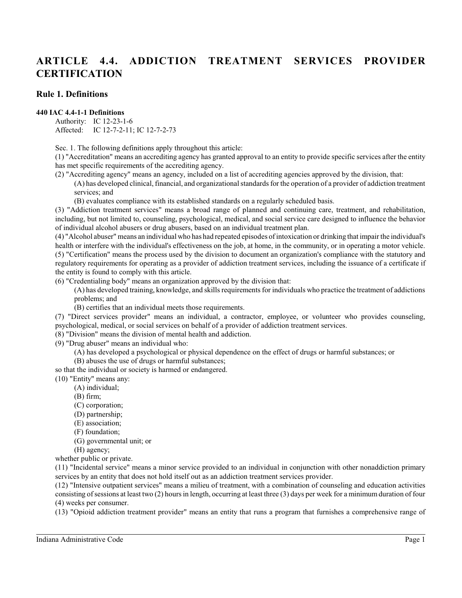# **ARTICLE 4.4. ADDICTION TREATMENT SERVICES PROVIDER CERTIFICATION**

# **Rule 1. Definitions**

#### **440 IAC 4.4-1-1 Definitions**

Authority: IC 12-23-1-6 Affected: IC 12-7-2-11; IC 12-7-2-73

Sec. 1. The following definitions apply throughout this article:

(1) "Accreditation" means an accrediting agency has granted approval to an entity to provide specific services after the entity has met specific requirements of the accrediting agency.

(2) "Accrediting agency" means an agency, included on a list of accrediting agencies approved by the division, that: (A) has developed clinical, financial, and organizational standards for the operation of a provider of addiction treatment services; and

(B) evaluates compliance with its established standards on a regularly scheduled basis.

(3) "Addiction treatment services" means a broad range of planned and continuing care, treatment, and rehabilitation, including, but not limited to, counseling, psychological, medical, and social service care designed to influence the behavior of individual alcohol abusers or drug abusers, based on an individual treatment plan.

(4) "Alcohol abuser" means an individual who has had repeated episodes of intoxication or drinking that impair the individual's health or interfere with the individual's effectiveness on the job, at home, in the community, or in operating a motor vehicle. (5) "Certification" means the process used by the division to document an organization's compliance with the statutory and regulatory requirements for operating as a provider of addiction treatment services, including the issuance of a certificate if the entity is found to comply with this article.

(6) "Credentialing body" means an organization approved by the division that:

(A) has developed training, knowledge, and skills requirements for individuals who practice the treatment of addictions problems; and

(B) certifies that an individual meets those requirements.

(7) "Direct services provider" means an individual, a contractor, employee, or volunteer who provides counseling, psychological, medical, or social services on behalf of a provider of addiction treatment services.

(8) "Division" means the division of mental health and addiction.

(9) "Drug abuser" means an individual who:

(A) has developed a psychological or physical dependence on the effect of drugs or harmful substances; or

(B) abuses the use of drugs or harmful substances;

so that the individual or society is harmed or endangered.

(10) "Entity" means any:

- (A) individual;
- (B) firm;
- (C) corporation;
- (D) partnership;
- (E) association;
- (F) foundation;
- (G) governmental unit; or

(H) agency;

whether public or private.

(11) "Incidental service" means a minor service provided to an individual in conjunction with other nonaddiction primary services by an entity that does not hold itself out as an addiction treatment services provider.

(12) "Intensive outpatient services" means a milieu of treatment, with a combination of counseling and education activities consisting of sessions at least two (2) hours in length, occurring at least three (3) days per week for a minimum duration of four (4) weeks per consumer.

(13) "Opioid addiction treatment provider" means an entity that runs a program that furnishes a comprehensive range of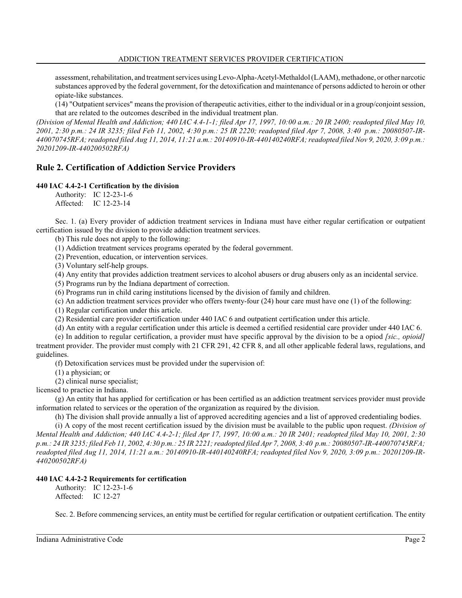assessment, rehabilitation, and treatment services usingLevo-Alpha-Acetyl-Methaldol (LAAM), methadone, or other narcotic substances approved by the federal government, for the detoxification and maintenance of persons addicted to heroin or other opiate-like substances.

(14) "Outpatient services" means the provision of therapeutic activities, either to the individual or in a group/conjoint session, that are related to the outcomes described in the individual treatment plan.

*(Division of Mental Health and Addiction; 440 IAC 4.4-1-1; filed Apr 17, 1997, 10:00 a.m.: 20 IR 2400; readopted filed May 10, 2001, 2:30 p.m.: 24 IR 3235; filed Feb 11, 2002, 4:30 p.m.: 25 IR 2220; readopted filed Apr 7, 2008, 3:40 p.m.: 20080507-IR-440070745RFA; readopted filed Aug 11, 2014, 11:21 a.m.: 20140910-IR-440140240RFA; readopted filed Nov 9, 2020, 3:09 p.m.: 20201209-IR-440200502RFA)*

# **Rule 2. Certification of Addiction Service Providers**

# **440 IAC 4.4-2-1 Certification by the division**

Authority: IC 12-23-1-6 Affected: IC 12-23-14

Sec. 1. (a) Every provider of addiction treatment services in Indiana must have either regular certification or outpatient certification issued by the division to provide addiction treatment services.

(b) This rule does not apply to the following:

(1) Addiction treatment services programs operated by the federal government.

(2) Prevention, education, or intervention services.

(3) Voluntary self-help groups.

(4) Any entity that provides addiction treatment services to alcohol abusers or drug abusers only as an incidental service.

(5) Programs run by the Indiana department of correction.

(6) Programs run in child caring institutions licensed by the division of family and children.

(c) An addiction treatment services provider who offers twenty-four (24) hour care must have one (1) of the following:

(1) Regular certification under this article.

(2) Residential care provider certification under 440 IAC 6 and outpatient certification under this article.

(d) An entity with a regular certification under this article is deemed a certified residential care provider under 440 IAC 6.

(e) In addition to regular certification, a provider must have specific approval by the division to be a opiod *[sic., opioid]* treatment provider. The provider must comply with 21 CFR 291, 42 CFR 8, and all other applicable federal laws, regulations, and guidelines.

(f) Detoxification services must be provided under the supervision of:

(1) a physician; or

(2) clinical nurse specialist;

licensed to practice in Indiana.

(g) An entity that has applied for certification or has been certified as an addiction treatment services provider must provide information related to services or the operation of the organization as required by the division.

(h) The division shall provide annually a list of approved accrediting agencies and a list of approved credentialing bodies.

(i) A copy of the most recent certification issued by the division must be available to the public upon request. *(Division of Mental Health and Addiction; 440 IAC 4.4-2-1; filed Apr 17, 1997, 10:00 a.m.: 20 IR 2401; readopted filed May 10, 2001, 2:30 p.m.: 24 IR 3235; filed Feb 11, 2002, 4:30 p.m.: 25 IR 2221; readopted filed Apr 7, 2008, 3:40 p.m.: 20080507-IR-440070745RFA; readopted filed Aug 11, 2014, 11:21 a.m.: 20140910-IR-440140240RFA; readopted filed Nov 9, 2020, 3:09 p.m.: 20201209-IR-440200502RFA)*

#### **440 IAC 4.4-2-2 Requirements for certification**

Authority: IC 12-23-1-6 Affected: IC 12-27

Sec. 2. Before commencing services, an entity must be certified for regular certification or outpatient certification. The entity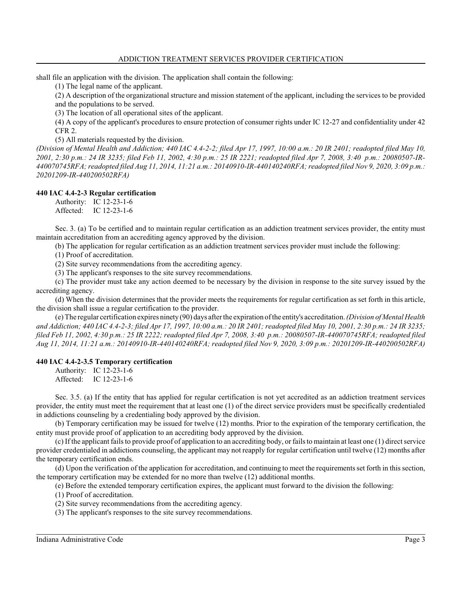shall file an application with the division. The application shall contain the following:

(1) The legal name of the applicant.

(2) A description of the organizational structure and mission statement of the applicant, including the services to be provided and the populations to be served.

(3) The location of all operational sites of the applicant.

(4) A copy of the applicant's procedures to ensure protection of consumer rights under IC 12-27 and confidentiality under 42 CFR 2.

(5) All materials requested by the division.

*(Division of Mental Health and Addiction; 440 IAC 4.4-2-2; filed Apr 17, 1997, 10:00 a.m.: 20 IR 2401; readopted filed May 10, 2001, 2:30 p.m.: 24 IR 3235; filed Feb 11, 2002, 4:30 p.m.: 25 IR 2221; readopted filed Apr 7, 2008, 3:40 p.m.: 20080507-IR-440070745RFA; readopted filed Aug 11, 2014, 11:21 a.m.: 20140910-IR-440140240RFA; readopted filed Nov 9, 2020, 3:09 p.m.: 20201209-IR-440200502RFA)*

#### **440 IAC 4.4-2-3 Regular certification**

Authority: IC 12-23-1-6 Affected: IC 12-23-1-6

Sec. 3. (a) To be certified and to maintain regular certification as an addiction treatment services provider, the entity must maintain accreditation from an accrediting agency approved by the division.

(b) The application for regular certification as an addiction treatment services provider must include the following:

(1) Proof of accreditation.

(2) Site survey recommendations from the accrediting agency.

(3) The applicant's responses to the site survey recommendations.

(c) The provider must take any action deemed to be necessary by the division in response to the site survey issued by the accrediting agency.

(d) When the division determines that the provider meets the requirements for regular certification as set forth in this article, the division shall issue a regular certification to the provider.

(e) The regular certification expires ninety (90) days after the expiration of the entity's accreditation. *(Division of Mental Health and Addiction; 440 IAC 4.4-2-3; filed Apr 17, 1997, 10:00 a.m.: 20 IR 2401; readopted filed May 10, 2001, 2:30 p.m.: 24 IR 3235; filed Feb 11, 2002, 4:30 p.m.: 25 IR 2222; readopted filed Apr 7, 2008, 3:40 p.m.: 20080507-IR-440070745RFA; readopted filed Aug 11, 2014, 11:21 a.m.: 20140910-IR-440140240RFA; readopted filed Nov 9, 2020, 3:09 p.m.: 20201209-IR-440200502RFA)*

#### **440 IAC 4.4-2-3.5 Temporary certification**

Authority: IC 12-23-1-6 Affected: IC 12-23-1-6

Sec. 3.5. (a) If the entity that has applied for regular certification is not yet accredited as an addiction treatment services provider, the entity must meet the requirement that at least one (1) of the direct service providers must be specifically credentialed in addictions counseling by a credentialing body approved by the division.

(b) Temporary certification may be issued for twelve (12) months. Prior to the expiration of the temporary certification, the entity must provide proof of application to an accrediting body approved by the division.

(c) If the applicant failsto provide proof of application to an accrediting body, or failsto maintain at least one (1) direct service provider credentialed in addictions counseling, the applicant may not reapply for regular certification until twelve (12) months after the temporary certification ends.

(d) Upon the verification of the application for accreditation, and continuing to meet the requirements set forth in thissection, the temporary certification may be extended for no more than twelve (12) additional months.

(e) Before the extended temporary certification expires, the applicant must forward to the division the following:

(1) Proof of accreditation.

(2) Site survey recommendations from the accrediting agency.

(3) The applicant's responses to the site survey recommendations.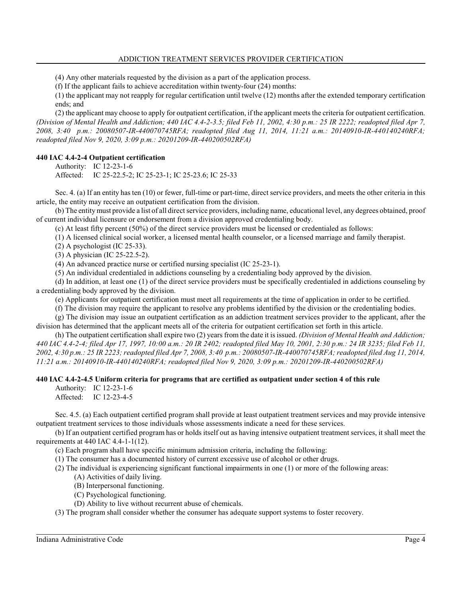(4) Any other materials requested by the division as a part of the application process.

(f) If the applicant fails to achieve accreditation within twenty-four (24) months:

(1) the applicant may not reapply for regular certification until twelve (12) months after the extended temporary certification ends; and

(2) the applicant may choose to apply for outpatient certification, if the applicant meets the criteria for outpatient certification. *(Division of Mental Health and Addiction; 440 IAC 4.4-2-3.5; filed Feb 11, 2002, 4:30 p.m.: 25 IR 2222; readopted filed Apr 7, 2008, 3:40 p.m.: 20080507-IR-440070745RFA; readopted filed Aug 11, 2014, 11:21 a.m.: 20140910-IR-440140240RFA; readopted filed Nov 9, 2020, 3:09 p.m.: 20201209-IR-440200502RFA)*

# **440 IAC 4.4-2-4 Outpatient certification**

Authority: IC 12-23-1-6 Affected: IC 25-22.5-2; IC 25-23-1; IC 25-23.6; IC 25-33

Sec. 4. (a) If an entity has ten (10) or fewer, full-time or part-time, direct service providers, and meets the other criteria in this article, the entity may receive an outpatient certification from the division.

(b) The entitymust provide a list of all direct service providers, including name, educational level, any degrees obtained, proof of current individual licensure or endorsement from a division approved credentialing body.

(c) At least fifty percent (50%) of the direct service providers must be licensed or credentialed as follows:

(1) A licensed clinical social worker, a licensed mental health counselor, or a licensed marriage and family therapist.

(2) A psychologist (IC 25-33).

(3) A physician (IC 25-22.5-2).

(4) An advanced practice nurse or certified nursing specialist (IC 25-23-1).

(5) An individual credentialed in addictions counseling by a credentialing body approved by the division.

(d) In addition, at least one (1) of the direct service providers must be specifically credentialed in addictions counseling by a credentialing body approved by the division.

(e) Applicants for outpatient certification must meet all requirements at the time of application in order to be certified.

(f) The division may require the applicant to resolve any problems identified by the division or the credentialing bodies.

(g) The division may issue an outpatient certification as an addiction treatment services provider to the applicant, after the division has determined that the applicant meets all of the criteria for outpatient certification set forth in this article.

(h) The outpatient certification shall expire two (2) years from the date it is issued. *(Division of Mental Health and Addiction; 440 IAC 4.4-2-4; filed Apr 17, 1997, 10:00 a.m.: 20 IR 2402; readopted filed May 10, 2001, 2:30 p.m.: 24 IR 3235; filed Feb 11, 2002, 4:30 p.m.: 25 IR 2223; readopted filed Apr 7, 2008, 3:40 p.m.: 20080507-IR-440070745RFA; readopted filed Aug 11, 2014, 11:21 a.m.: 20140910-IR-440140240RFA; readopted filed Nov 9, 2020, 3:09 p.m.: 20201209-IR-440200502RFA)*

#### **440 IAC 4.4-2-4.5 Uniform criteria for programs that are certified as outpatient under section 4 of this rule**

Authority: IC 12-23-1-6 Affected: IC 12-23-4-5

Sec. 4.5. (a) Each outpatient certified program shall provide at least outpatient treatment services and may provide intensive outpatient treatment services to those individuals whose assessments indicate a need for these services.

(b) If an outpatient certified program has or holds itself out as having intensive outpatient treatment services, it shall meet the requirements at 440 IAC 4.4-1-1(12).

(c) Each program shall have specific minimum admission criteria, including the following:

- (1) The consumer has a documented history of current excessive use of alcohol or other drugs.
- (2) The individual is experiencing significant functional impairments in one (1) or more of the following areas:
	- (A) Activities of daily living.
	- (B) Interpersonal functioning.
	- (C) Psychological functioning.
	- (D) Ability to live without recurrent abuse of chemicals.

(3) The program shall consider whether the consumer has adequate support systems to foster recovery.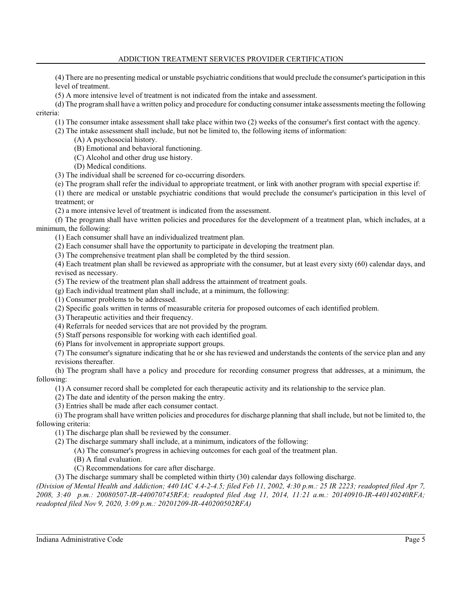# ADDICTION TREATMENT SERVICES PROVIDER CERTIFICATION

(4) There are no presenting medical or unstable psychiatric conditions that would preclude the consumer's participation in this level of treatment.

(5) A more intensive level of treatment is not indicated from the intake and assessment.

(d) The program shall have a written policy and procedure for conducting consumer intake assessments meeting the following criteria:

(1) The consumer intake assessment shall take place within two (2) weeks of the consumer's first contact with the agency.

(2) The intake assessment shall include, but not be limited to, the following items of information:

(A) A psychosocial history.

(B) Emotional and behavioral functioning.

(C) Alcohol and other drug use history.

(D) Medical conditions.

(3) The individual shall be screened for co-occurring disorders.

(e) The program shall refer the individual to appropriate treatment, or link with another program with special expertise if:

(1) there are medical or unstable psychiatric conditions that would preclude the consumer's participation in this level of treatment; or

(2) a more intensive level of treatment is indicated from the assessment.

(f) The program shall have written policies and procedures for the development of a treatment plan, which includes, at a minimum, the following:

(1) Each consumer shall have an individualized treatment plan.

(2) Each consumer shall have the opportunity to participate in developing the treatment plan.

(3) The comprehensive treatment plan shall be completed by the third session.

(4) Each treatment plan shall be reviewed as appropriate with the consumer, but at least every sixty (60) calendar days, and revised as necessary.

(5) The review of the treatment plan shall address the attainment of treatment goals.

(g) Each individual treatment plan shall include, at a minimum, the following:

(1) Consumer problems to be addressed.

(2) Specific goals written in terms of measurable criteria for proposed outcomes of each identified problem.

(3) Therapeutic activities and their frequency.

(4) Referrals for needed services that are not provided by the program.

(5) Staff persons responsible for working with each identified goal.

(6) Plans for involvement in appropriate support groups.

(7) The consumer's signature indicating that he or she has reviewed and understands the contents of the service plan and any revisions thereafter.

(h) The program shall have a policy and procedure for recording consumer progress that addresses, at a minimum, the following:

(1) A consumer record shall be completed for each therapeutic activity and its relationship to the service plan.

(2) The date and identity of the person making the entry.

(3) Entries shall be made after each consumer contact.

(i) The program shall have written policies and procedures for discharge planning that shall include, but not be limited to, the following criteria:

(1) The discharge plan shall be reviewed by the consumer.

(2) The discharge summary shall include, at a minimum, indicators of the following:

(A) The consumer's progress in achieving outcomes for each goal of the treatment plan.

(B) A final evaluation.

(C) Recommendations for care after discharge.

(3) The discharge summary shall be completed within thirty (30) calendar days following discharge.

*(Division of Mental Health and Addiction; 440 IAC 4.4-2-4.5; filed Feb 11, 2002, 4:30 p.m.: 25 IR 2223; readopted filed Apr 7, 2008, 3:40 p.m.: 20080507-IR-440070745RFA; readopted filed Aug 11, 2014, 11:21 a.m.: 20140910-IR-440140240RFA; readopted filed Nov 9, 2020, 3:09 p.m.: 20201209-IR-440200502RFA)*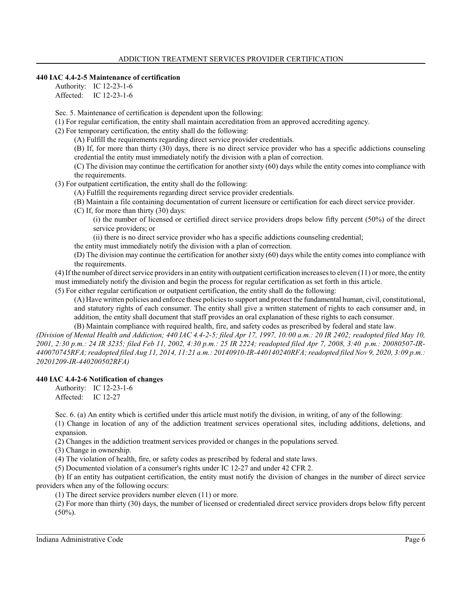# **440 IAC 4.4-2-5 Maintenance of certification**

Authority: IC 12-23-1-6 Affected: IC 12-23-1-6

Sec. 5. Maintenance of certification is dependent upon the following:

(1) For regular certification, the entity shall maintain accreditation from an approved accrediting agency.

(2) For temporary certification, the entity shall do the following:

(A) Fulfill the requirements regarding direct service provider credentials.

(B) If, for more than thirty (30) days, there is no direct service provider who has a specific addictions counseling credential the entity must immediately notify the division with a plan of correction.

(C) The division may continue the certification for another sixty (60) days while the entity comes into compliance with the requirements.

(3) For outpatient certification, the entity shall do the following:

(A) Fulfill the requirements regarding direct service provider credentials.

(B) Maintain a file containing documentation of current licensure or certification for each direct service provider.

(C) If, for more than thirty (30) days:

(i) the number of licensed or certified direct service providers drops below fifty percent (50%) of the direct service providers; or

(ii) there is no direct service provider who has a specific addictions counseling credential;

the entity must immediately notify the division with a plan of correction.

(D) The division may continue the certification for another sixty (60) days while the entity comes into compliance with the requirements.

(4) If the number of direct service providers in an entity with outpatient certification increases to eleven  $(11)$  or more, the entity must immediately notify the division and begin the process for regular certification as set forth in this article.

(5) For either regular certification or outpatient certification, the entity shall do the following:

(A) Have written policies and enforce these policies to support and protect the fundamental human, civil, constitutional, and statutory rights of each consumer. The entity shall give a written statement of rights to each consumer and, in addition, the entity shall document that staff provides an oral explanation of these rights to each consumer. (B) Maintain compliance with required health, fire, and safety codes as prescribed by federal and state law.

*(Division of Mental Health and Addiction; 440 IAC 4.4-2-5; filed Apr 17, 1997, 10:00 a.m.: 20 IR 2402; readopted filed May 10, 2001, 2:30 p.m.: 24 IR 3235; filed Feb 11, 2002, 4:30 p.m.: 25 IR 2224; readopted filed Apr 7, 2008, 3:40 p.m.: 20080507-IR-440070745RFA; readopted filed Aug 11, 2014, 11:21 a.m.: 20140910-IR-440140240RFA; readopted filed Nov 9, 2020, 3:09 p.m.: 20201209-IR-440200502RFA)*

#### **440 IAC 4.4-2-6 Notification of changes**

Authority: IC 12-23-1-6 Affected: IC 12-27

Sec. 6. (a) An entity which is certified under this article must notify the division, in writing, of any of the following:

(1) Change in location of any of the addiction treatment services operational sites, including additions, deletions, and expansion.

(2) Changes in the addiction treatment services provided or changes in the populations served.

(3) Change in ownership.

(4) The violation of health, fire, or safety codes as prescribed by federal and state laws.

(5) Documented violation of a consumer's rights under IC 12-27 and under 42 CFR 2.

(b) If an entity has outpatient certification, the entity must notify the division of changes in the number of direct service providers when any of the following occurs:

(1) The direct service providers number eleven (11) or more.

(2) For more than thirty (30) days, the number of licensed or credentialed direct service providers drops below fifty percent  $(50\%)$ .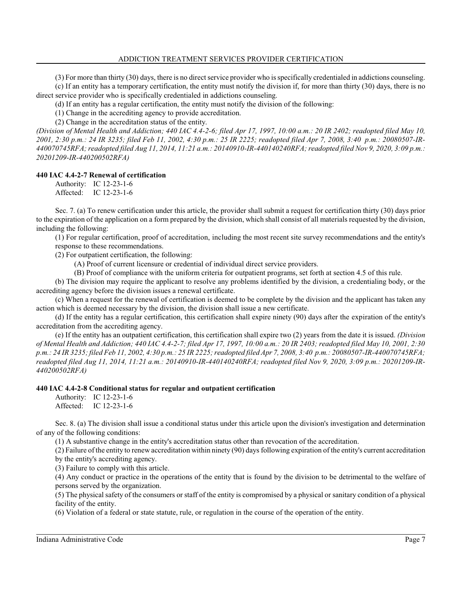(3) For more than thirty (30) days, there is no direct service provider who is specifically credentialed in addictions counseling.

(c) If an entity has a temporary certification, the entity must notify the division if, for more than thirty (30) days, there is no direct service provider who is specifically credentialed in addictions counseling.

(d) If an entity has a regular certification, the entity must notify the division of the following:

(1) Change in the accrediting agency to provide accreditation.

(2) Change in the accreditation status of the entity.

*(Division of Mental Health and Addiction; 440 IAC 4.4-2-6; filed Apr 17, 1997, 10:00 a.m.: 20 IR 2402; readopted filed May 10, 2001, 2:30 p.m.: 24 IR 3235; filed Feb 11, 2002, 4:30 p.m.: 25 IR 2225; readopted filed Apr 7, 2008, 3:40 p.m.: 20080507-IR-440070745RFA; readopted filed Aug 11, 2014, 11:21 a.m.: 20140910-IR-440140240RFA; readopted filed Nov 9, 2020, 3:09 p.m.: 20201209-IR-440200502RFA)*

#### **440 IAC 4.4-2-7 Renewal of certification**

Authority: IC 12-23-1-6 Affected: IC 12-23-1-6

Sec. 7. (a) To renew certification under this article, the provider shall submit a request for certification thirty (30) days prior to the expiration of the application on a form prepared by the division, which shall consist of all materials requested by the division, including the following:

(1) For regular certification, proof of accreditation, including the most recent site survey recommendations and the entity's response to these recommendations.

(2) For outpatient certification, the following:

(A) Proof of current licensure or credential of individual direct service providers.

(B) Proof of compliance with the uniform criteria for outpatient programs, set forth at section 4.5 of this rule.

(b) The division may require the applicant to resolve any problems identified by the division, a credentialing body, or the accrediting agency before the division issues a renewal certificate.

(c) When a request for the renewal of certification is deemed to be complete by the division and the applicant has taken any action which is deemed necessary by the division, the division shall issue a new certificate.

(d) If the entity has a regular certification, this certification shall expire ninety (90) days after the expiration of the entity's accreditation from the accrediting agency.

(e) If the entity has an outpatient certification, this certification shall expire two (2) years from the date it is issued. *(Division of Mental Health and Addiction; 440 IAC 4.4-2-7; filed Apr 17, 1997, 10:00 a.m.: 20 IR 2403; readopted filed May 10, 2001, 2:30 p.m.: 24 IR 3235; filed Feb 11, 2002, 4:30 p.m.: 25 IR 2225; readopted filed Apr 7, 2008, 3:40 p.m.: 20080507-IR-440070745RFA; readopted filed Aug 11, 2014, 11:21 a.m.: 20140910-IR-440140240RFA; readopted filed Nov 9, 2020, 3:09 p.m.: 20201209-IR-440200502RFA)*

# **440 IAC 4.4-2-8 Conditional status for regular and outpatient certification**

Authority: IC 12-23-1-6 Affected: IC 12-23-1-6

Sec. 8. (a) The division shall issue a conditional status under this article upon the division's investigation and determination of any of the following conditions:

(1) A substantive change in the entity's accreditation status other than revocation of the accreditation.

(2) Failure of the entity to renew accreditation within ninety (90) days following expiration of the entity's current accreditation by the entity's accrediting agency.

(3) Failure to comply with this article.

(4) Any conduct or practice in the operations of the entity that is found by the division to be detrimental to the welfare of persons served by the organization.

(5) The physical safety of the consumers or staff of the entity is compromised by a physical or sanitary condition of a physical facility of the entity.

(6) Violation of a federal or state statute, rule, or regulation in the course of the operation of the entity.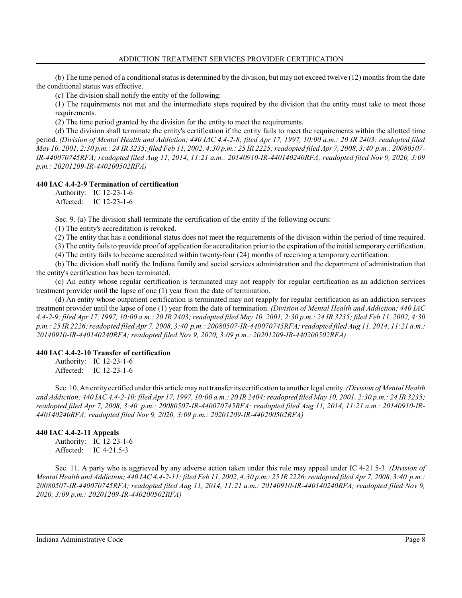(b) The time period of a conditional status is determined by the division, but may not exceed twelve  $(12)$  months from the date the conditional status was effective.

(c) The division shall notify the entity of the following:

(1) The requirements not met and the intermediate steps required by the division that the entity must take to meet those requirements.

(2) The time period granted by the division for the entity to meet the requirements.

(d) The division shall terminate the entity's certification if the entity fails to meet the requirements within the allotted time period. *(Division of Mental Health and Addiction; 440 IAC 4.4-2-8; filed Apr 17, 1997, 10:00 a.m.: 20 IR 2403; readopted filed May 10, 2001, 2:30 p.m.: 24 IR 3235; filed Feb 11, 2002, 4:30 p.m.: 25 IR 2225; readopted filed Apr 7, 2008, 3:40 p.m.: 20080507- IR-440070745RFA; readopted filed Aug 11, 2014, 11:21 a.m.: 20140910-IR-440140240RFA; readopted filed Nov 9, 2020, 3:09 p.m.: 20201209-IR-440200502RFA)*

# **440 IAC 4.4-2-9 Termination of certification**

Authority: IC 12-23-1-6 Affected: IC 12-23-1-6

Sec. 9. (a) The division shall terminate the certification of the entity if the following occurs:

(1) The entity's accreditation is revoked.

(2) The entity that has a conditional status does not meet the requirements of the division within the period of time required.

(3) The entity failsto provide proof of application for accreditation prior to the expiration of the initial temporary certification.

(4) The entity fails to become accredited within twenty-four (24) months of receiving a temporary certification.

(b) The division shall notify the Indiana family and social services administration and the department of administration that the entity's certification has been terminated.

(c) An entity whose regular certification is terminated may not reapply for regular certification as an addiction services treatment provider until the lapse of one (1) year from the date of termination.

(d) An entity whose outpatient certification is terminated may not reapply for regular certification as an addiction services treatment provider until the lapse of one (1) year from the date of termination. *(Division of Mental Health and Addiction; 440 IAC 4.4-2-9; filed Apr 17, 1997, 10:00 a.m.: 20 IR 2403; readopted filed May 10, 2001, 2:30 p.m.: 24 IR 3235; filed Feb 11, 2002, 4:30 p.m.: 25 IR 2226; readopted filed Apr 7, 2008, 3:40 p.m.: 20080507-IR-440070745RFA; readopted filed Aug 11, 2014, 11:21 a.m.: 20140910-IR-440140240RFA; readopted filed Nov 9, 2020, 3:09 p.m.: 20201209-IR-440200502RFA)*

#### **440 IAC 4.4-2-10 Transfer of certification**

Authority: IC 12-23-1-6 Affected: IC 12-23-1-6

Sec. 10. An entity certified under this article may not transfer its certification to another legal entity. *(Division of Mental Health and Addiction; 440 IAC 4.4-2-10; filed Apr 17, 1997, 10:00 a.m.: 20 IR 2404; readopted filed May 10, 2001, 2:30 p.m.: 24 IR 3235; readopted filed Apr 7, 2008, 3:40 p.m.: 20080507-IR-440070745RFA; readopted filed Aug 11, 2014, 11:21 a.m.: 20140910-IR-440140240RFA; readopted filed Nov 9, 2020, 3:09 p.m.: 20201209-IR-440200502RFA)*

#### **440 IAC 4.4-2-11 Appeals**

Authority: IC 12-23-1-6 Affected: IC 4-21.5-3

Sec. 11. A party who is aggrieved by any adverse action taken under this rule may appeal under IC 4-21.5-3. *(Division of Mental Health and Addiction; 440 IAC 4.4-2-11; filed Feb 11, 2002, 4:30 p.m.: 25 IR 2226; readopted filed Apr 7, 2008, 3:40 p.m.: 20080507-IR-440070745RFA; readopted filed Aug 11, 2014, 11:21 a.m.: 20140910-IR-440140240RFA; readopted filed Nov 9, 2020, 3:09 p.m.: 20201209-IR-440200502RFA)*